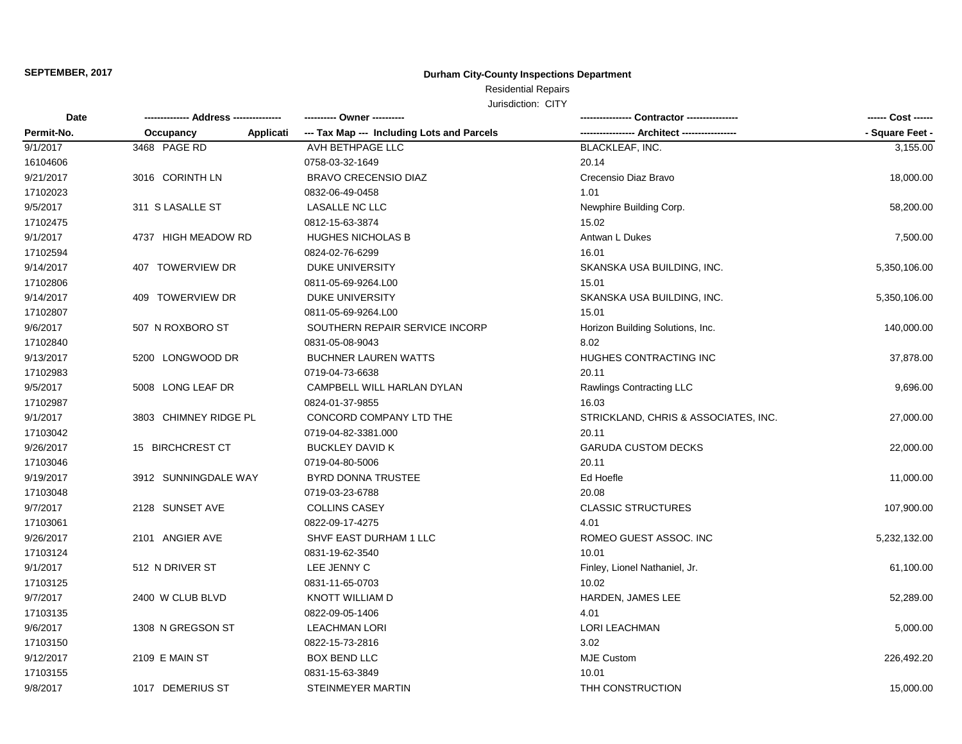## **Durham City-County Inspections Department**

Residential Repairs

| Date<br>Permit-No. | -------------- Address --------------- | ---------- Owner ----------                |                                      | ------ Cost ------ |
|--------------------|----------------------------------------|--------------------------------------------|--------------------------------------|--------------------|
|                    | Occupancy<br>Applicati                 | --- Tax Map --- Including Lots and Parcels | --- Architect ----                   | - Square Feet -    |
| 9/1/2017           | 3468 PAGE RD                           | AVH BETHPAGE LLC                           | <b>BLACKLEAF, INC.</b>               | 3,155.00           |
| 16104606           |                                        | 0758-03-32-1649                            | 20.14                                |                    |
| 9/21/2017          | 3016 CORINTH LN                        | <b>BRAVO CRECENSIO DIAZ</b>                | Crecensio Diaz Bravo                 | 18,000.00          |
| 17102023           |                                        | 0832-06-49-0458                            | 1.01                                 |                    |
| 9/5/2017           | 311 S LASALLE ST                       | LASALLE NC LLC                             | Newphire Building Corp.              | 58,200.00          |
| 17102475           |                                        | 0812-15-63-3874                            | 15.02                                |                    |
| 9/1/2017           | 4737 HIGH MEADOW RD                    | <b>HUGHES NICHOLAS B</b>                   | Antwan L Dukes                       | 7,500.00           |
| 17102594           |                                        | 0824-02-76-6299                            | 16.01                                |                    |
| 9/14/2017          | 407 TOWERVIEW DR                       | DUKE UNIVERSITY                            | SKANSKA USA BUILDING, INC.           | 5,350,106.00       |
| 17102806           |                                        | 0811-05-69-9264.L00                        | 15.01                                |                    |
| 9/14/2017          | 409 TOWERVIEW DR                       | DUKE UNIVERSITY                            | SKANSKA USA BUILDING, INC.           | 5,350,106.00       |
| 17102807           |                                        | 0811-05-69-9264.L00                        | 15.01                                |                    |
| 9/6/2017           | 507 N ROXBORO ST                       | SOUTHERN REPAIR SERVICE INCORP             | Horizon Building Solutions, Inc.     | 140,000.00         |
| 17102840           |                                        | 0831-05-08-9043                            | 8.02                                 |                    |
| 9/13/2017          | 5200 LONGWOOD DR                       | <b>BUCHNER LAUREN WATTS</b>                | HUGHES CONTRACTING INC               | 37,878.00          |
| 17102983           |                                        | 0719-04-73-6638                            | 20.11                                |                    |
| 9/5/2017           | 5008 LONG LEAF DR                      | CAMPBELL WILL HARLAN DYLAN                 | Rawlings Contracting LLC             | 9,696.00           |
| 17102987           |                                        | 0824-01-37-9855                            | 16.03                                |                    |
| 9/1/2017           | 3803 CHIMNEY RIDGE PL                  | CONCORD COMPANY LTD THE                    | STRICKLAND, CHRIS & ASSOCIATES, INC. | 27,000.00          |
| 17103042           |                                        | 0719-04-82-3381.000                        | 20.11                                |                    |
| 9/26/2017          | 15 BIRCHCREST CT                       | <b>BUCKLEY DAVID K</b>                     | <b>GARUDA CUSTOM DECKS</b>           | 22,000.00          |
| 17103046           |                                        | 0719-04-80-5006                            | 20.11                                |                    |
| 9/19/2017          | 3912 SUNNINGDALE WAY                   | <b>BYRD DONNA TRUSTEE</b>                  | Ed Hoefle                            | 11,000.00          |
| 17103048           |                                        | 0719-03-23-6788                            | 20.08                                |                    |
| 9/7/2017           | 2128 SUNSET AVE                        | <b>COLLINS CASEY</b>                       | <b>CLASSIC STRUCTURES</b>            | 107,900.00         |
| 17103061           |                                        | 0822-09-17-4275                            | 4.01                                 |                    |
| 9/26/2017          | 2101 ANGIER AVE                        | SHVF EAST DURHAM 1 LLC                     | ROMEO GUEST ASSOC. INC               | 5,232,132.00       |
| 17103124           |                                        | 0831-19-62-3540                            | 10.01                                |                    |
| 9/1/2017           | 512 N DRIVER ST                        | LEE JENNY C                                | Finley, Lionel Nathaniel, Jr.        | 61,100.00          |
| 17103125           |                                        | 0831-11-65-0703                            | 10.02                                |                    |
| 9/7/2017           | 2400 W CLUB BLVD                       | <b>KNOTT WILLIAM D</b>                     | HARDEN, JAMES LEE                    | 52,289.00          |
| 17103135           |                                        | 0822-09-05-1406                            | 4.01                                 |                    |
| 9/6/2017           | 1308 N GREGSON ST                      | <b>LEACHMAN LORI</b>                       | <b>LORI LEACHMAN</b>                 | 5,000.00           |
| 17103150           |                                        | 0822-15-73-2816                            | 3.02                                 |                    |
| 9/12/2017          | 2109 E MAIN ST                         | <b>BOX BEND LLC</b>                        | MJE Custom                           | 226,492.20         |
| 17103155           |                                        | 0831-15-63-3849                            | 10.01                                |                    |
| 9/8/2017           | 1017 DEMERIUS ST                       | STEINMEYER MARTIN                          | THH CONSTRUCTION                     | 15,000.00          |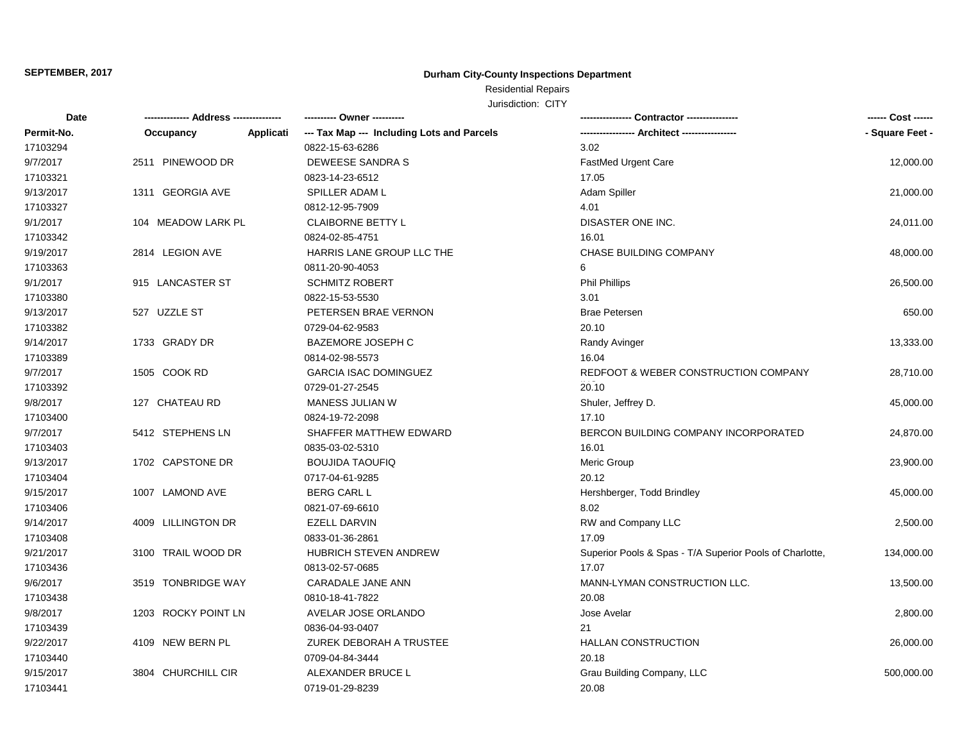## **Durham City-County Inspections Department**

## Residential Repairs

| Date       |                     |           | ---------- Owner ---------                 |                                                          | ------ Cost ------ |
|------------|---------------------|-----------|--------------------------------------------|----------------------------------------------------------|--------------------|
| Permit-No. | Occupancy           | Applicati | --- Tax Map --- Including Lots and Parcels | ---------------- Architect ----------------              | - Square Feet -    |
| 17103294   |                     |           | 0822-15-63-6286                            | 3.02                                                     |                    |
| 9/7/2017   | 2511 PINEWOOD DR    |           | DEWEESE SANDRA S                           | FastMed Urgent Care                                      | 12,000.00          |
| 17103321   |                     |           | 0823-14-23-6512                            | 17.05                                                    |                    |
| 9/13/2017  | 1311 GEORGIA AVE    |           | SPILLER ADAM L                             | Adam Spiller                                             | 21,000.00          |
| 17103327   |                     |           | 0812-12-95-7909                            | 4.01                                                     |                    |
| 9/1/2017   | 104 MEADOW LARK PL  |           | <b>CLAIBORNE BETTY L</b>                   | DISASTER ONE INC.                                        | 24,011.00          |
| 17103342   |                     |           | 0824-02-85-4751                            | 16.01                                                    |                    |
| 9/19/2017  | 2814 LEGION AVE     |           | HARRIS LANE GROUP LLC THE                  | CHASE BUILDING COMPANY                                   | 48,000.00          |
| 17103363   |                     |           | 0811-20-90-4053                            | 6                                                        |                    |
| 9/1/2017   | 915 LANCASTER ST    |           | <b>SCHMITZ ROBERT</b>                      | <b>Phil Phillips</b>                                     | 26,500.00          |
| 17103380   |                     |           | 0822-15-53-5530                            | 3.01                                                     |                    |
| 9/13/2017  | 527 UZZLE ST        |           | PETERSEN BRAE VERNON                       | <b>Brae Petersen</b>                                     | 650.00             |
| 17103382   |                     |           | 0729-04-62-9583                            | 20.10                                                    |                    |
| 9/14/2017  | 1733 GRADY DR       |           | <b>BAZEMORE JOSEPH C</b>                   | Randy Avinger                                            | 13,333.00          |
| 17103389   |                     |           | 0814-02-98-5573                            | 16.04                                                    |                    |
| 9/7/2017   | 1505 COOK RD        |           | <b>GARCIA ISAC DOMINGUEZ</b>               | REDFOOT & WEBER CONSTRUCTION COMPANY                     | 28,710.00          |
| 17103392   |                     |           | 0729-01-27-2545                            | 20.10                                                    |                    |
| 9/8/2017   | 127 CHATEAU RD      |           | MANESS JULIAN W                            | Shuler, Jeffrey D.                                       | 45,000.00          |
| 17103400   |                     |           | 0824-19-72-2098                            | 17.10                                                    |                    |
| 9/7/2017   | 5412 STEPHENS LN    |           | SHAFFER MATTHEW EDWARD                     | BERCON BUILDING COMPANY INCORPORATED                     | 24,870.00          |
| 17103403   |                     |           | 0835-03-02-5310                            | 16.01                                                    |                    |
| 9/13/2017  | 1702 CAPSTONE DR    |           | <b>BOUJIDA TAOUFIQ</b>                     | Meric Group                                              | 23,900.00          |
| 17103404   |                     |           | 0717-04-61-9285                            | 20.12                                                    |                    |
| 9/15/2017  | 1007 LAMOND AVE     |           | <b>BERG CARL L</b>                         | Hershberger, Todd Brindley                               | 45,000.00          |
| 17103406   |                     |           | 0821-07-69-6610                            | 8.02                                                     |                    |
| 9/14/2017  | 4009 LILLINGTON DR  |           | <b>EZELL DARVIN</b>                        | RW and Company LLC                                       | 2,500.00           |
| 17103408   |                     |           | 0833-01-36-2861                            | 17.09                                                    |                    |
| 9/21/2017  | 3100 TRAIL WOOD DR  |           | <b>HUBRICH STEVEN ANDREW</b>               | Superior Pools & Spas - T/A Superior Pools of Charlotte, | 134,000.00         |
| 17103436   |                     |           | 0813-02-57-0685                            | 17.07                                                    |                    |
| 9/6/2017   | 3519 TONBRIDGE WAY  |           | CARADALE JANE ANN                          | MANN-LYMAN CONSTRUCTION LLC.                             | 13,500.00          |
| 17103438   |                     |           | 0810-18-41-7822                            | 20.08                                                    |                    |
| 9/8/2017   | 1203 ROCKY POINT LN |           | AVELAR JOSE ORLANDO                        | Jose Avelar                                              | 2,800.00           |
| 17103439   |                     |           | 0836-04-93-0407                            | 21                                                       |                    |
| 9/22/2017  | 4109 NEW BERN PL    |           | ZUREK DEBORAH A TRUSTEE                    | <b>HALLAN CONSTRUCTION</b>                               | 26,000.00          |
| 17103440   |                     |           | 0709-04-84-3444                            | 20.18                                                    |                    |
| 9/15/2017  | 3804 CHURCHILL CIR  |           | ALEXANDER BRUCE L                          | Grau Building Company, LLC                               | 500,000.00         |
| 17103441   |                     |           | 0719-01-29-8239                            | 20.08                                                    |                    |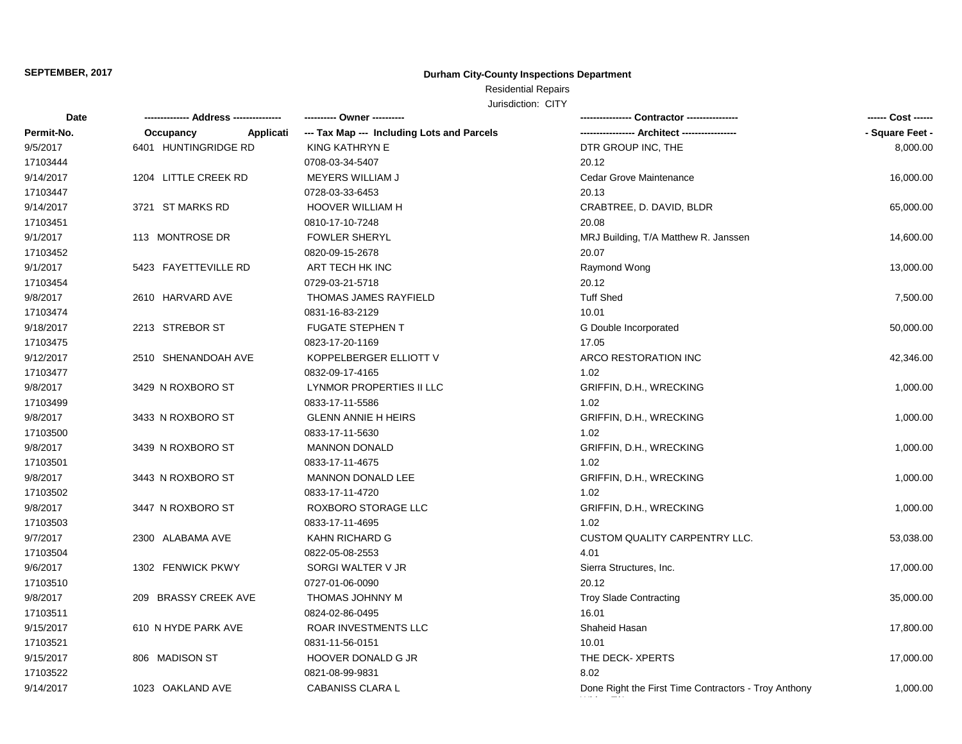## **Durham City-County Inspections Department**

# Residential Repairs

| <b>Date</b> |                        | ---------- Owner ----------                |                                                      | ------ Cost ------ |
|-------------|------------------------|--------------------------------------------|------------------------------------------------------|--------------------|
| Permit-No.  | Occupancy<br>Applicati | --- Tax Map --- Including Lots and Parcels |                                                      | - Square Feet -    |
| 9/5/2017    | 6401 HUNTINGRIDGE RD   | KING KATHRYN E                             | DTR GROUP INC, THE                                   | 8,000.00           |
| 17103444    |                        | 0708-03-34-5407                            | 20.12                                                |                    |
| 9/14/2017   | 1204 LITTLE CREEK RD   | <b>MEYERS WILLIAM J</b>                    | Cedar Grove Maintenance                              | 16,000.00          |
| 17103447    |                        | 0728-03-33-6453                            | 20.13                                                |                    |
| 9/14/2017   | 3721 ST MARKS RD       | <b>HOOVER WILLIAM H</b>                    | CRABTREE, D. DAVID, BLDR                             | 65,000.00          |
| 17103451    |                        | 0810-17-10-7248                            | 20.08                                                |                    |
| 9/1/2017    | 113 MONTROSE DR        | <b>FOWLER SHERYL</b>                       | MRJ Building, T/A Matthew R. Janssen                 | 14,600.00          |
| 17103452    |                        | 0820-09-15-2678                            | 20.07                                                |                    |
| 9/1/2017    | 5423 FAYETTEVILLE RD   | ART TECH HK INC                            | Raymond Wong                                         | 13,000.00          |
| 17103454    |                        | 0729-03-21-5718                            | 20.12                                                |                    |
| 9/8/2017    | 2610 HARVARD AVE       | THOMAS JAMES RAYFIELD                      | <b>Tuff Shed</b>                                     | 7,500.00           |
| 17103474    |                        | 0831-16-83-2129                            | 10.01                                                |                    |
| 9/18/2017   | 2213 STREBOR ST        | <b>FUGATE STEPHEN T</b>                    | G Double Incorporated                                | 50,000.00          |
| 17103475    |                        | 0823-17-20-1169                            | 17.05                                                |                    |
| 9/12/2017   | 2510 SHENANDOAH AVE    | KOPPELBERGER ELLIOTT V                     | ARCO RESTORATION INC                                 | 42,346.00          |
| 17103477    |                        | 0832-09-17-4165                            | 1.02                                                 |                    |
| 9/8/2017    | 3429 N ROXBORO ST      | LYNMOR PROPERTIES II LLC                   | GRIFFIN, D.H., WRECKING                              | 1,000.00           |
| 17103499    |                        | 0833-17-11-5586                            | 1.02                                                 |                    |
| 9/8/2017    | 3433 N ROXBORO ST      | <b>GLENN ANNIE H HEIRS</b>                 | GRIFFIN, D.H., WRECKING                              | 1,000.00           |
| 17103500    |                        | 0833-17-11-5630                            | 1.02                                                 |                    |
| 9/8/2017    | 3439 N ROXBORO ST      | <b>MANNON DONALD</b>                       | GRIFFIN, D.H., WRECKING                              | 1,000.00           |
| 17103501    |                        | 0833-17-11-4675                            | 1.02                                                 |                    |
| 9/8/2017    | 3443 N ROXBORO ST      | MANNON DONALD LEE                          | GRIFFIN, D.H., WRECKING                              | 1,000.00           |
| 17103502    |                        | 0833-17-11-4720                            | 1.02                                                 |                    |
| 9/8/2017    | 3447 N ROXBORO ST      | ROXBORO STORAGE LLC                        | GRIFFIN, D.H., WRECKING                              | 1,000.00           |
| 17103503    |                        | 0833-17-11-4695                            | 1.02                                                 |                    |
| 9/7/2017    | 2300 ALABAMA AVE       | <b>KAHN RICHARD G</b>                      | <b>CUSTOM QUALITY CARPENTRY LLC.</b>                 | 53,038.00          |
| 17103504    |                        | 0822-05-08-2553                            | 4.01                                                 |                    |
| 9/6/2017    | 1302 FENWICK PKWY      | SORGI WALTER V JR                          | Sierra Structures, Inc.                              | 17,000.00          |
| 17103510    |                        | 0727-01-06-0090                            | 20.12                                                |                    |
| 9/8/2017    | 209 BRASSY CREEK AVE   | THOMAS JOHNNY M                            | <b>Troy Slade Contracting</b>                        | 35,000.00          |
| 17103511    |                        | 0824-02-86-0495                            | 16.01                                                |                    |
| 9/15/2017   | 610 N HYDE PARK AVE    | ROAR INVESTMENTS LLC                       | Shaheid Hasan                                        | 17,800.00          |
| 17103521    |                        | 0831-11-56-0151                            | 10.01                                                |                    |
| 9/15/2017   | 806 MADISON ST         | HOOVER DONALD G JR                         | THE DECK-XPERTS                                      | 17,000.00          |
| 17103522    |                        | 0821-08-99-9831                            | 8.02                                                 |                    |
| 9/14/2017   | 1023 OAKLAND AVE       | <b>CABANISS CLARA L</b>                    | Done Right the First Time Contractors - Troy Anthony | 1,000.00           |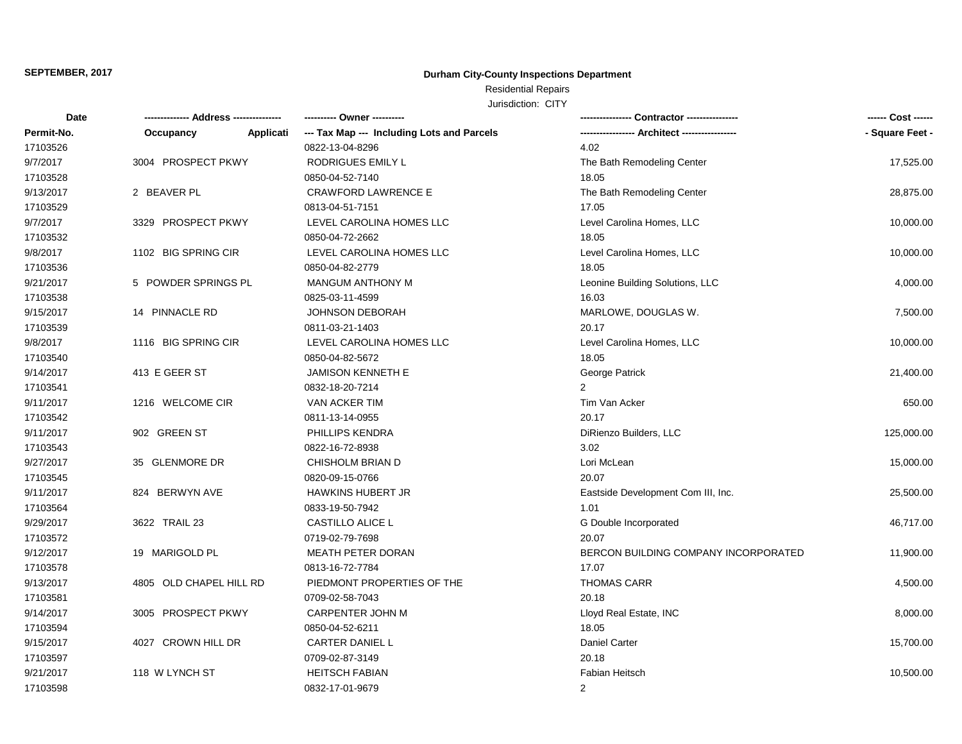## **Durham City-County Inspections Department**

## Residential Repairs

| Date       | -- Address ---<br>---------- | ---------- Owner ----------                |                                             | ------ Cost ------ |
|------------|------------------------------|--------------------------------------------|---------------------------------------------|--------------------|
| Permit-No. | Occupancy<br>Applicati       | --- Tax Map --- Including Lots and Parcels | ---------------- Architect ---------------- | - Square Feet -    |
| 17103526   |                              | 0822-13-04-8296                            | 4.02                                        |                    |
| 9/7/2017   | 3004 PROSPECT PKWY           | <b>RODRIGUES EMILY L</b>                   | The Bath Remodeling Center                  | 17,525.00          |
| 17103528   |                              | 0850-04-52-7140                            | 18.05                                       |                    |
| 9/13/2017  | 2 BEAVER PL                  | <b>CRAWFORD LAWRENCE E</b>                 | The Bath Remodeling Center                  | 28,875.00          |
| 17103529   |                              | 0813-04-51-7151                            | 17.05                                       |                    |
| 9/7/2017   | 3329 PROSPECT PKWY           | LEVEL CAROLINA HOMES LLC                   | Level Carolina Homes, LLC                   | 10,000.00          |
| 17103532   |                              | 0850-04-72-2662                            | 18.05                                       |                    |
| 9/8/2017   | 1102 BIG SPRING CIR          | LEVEL CAROLINA HOMES LLC                   | Level Carolina Homes, LLC                   | 10,000.00          |
| 17103536   |                              | 0850-04-82-2779                            | 18.05                                       |                    |
| 9/21/2017  | 5 POWDER SPRINGS PL          | <b>MANGUM ANTHONY M</b>                    | Leonine Building Solutions, LLC             | 4,000.00           |
| 17103538   |                              | 0825-03-11-4599                            | 16.03                                       |                    |
| 9/15/2017  | 14 PINNACLE RD               | <b>JOHNSON DEBORAH</b>                     | MARLOWE, DOUGLAS W.                         | 7,500.00           |
| 17103539   |                              | 0811-03-21-1403                            | 20.17                                       |                    |
| 9/8/2017   | 1116 BIG SPRING CIR          | LEVEL CAROLINA HOMES LLC                   | Level Carolina Homes, LLC                   | 10,000.00          |
| 17103540   |                              | 0850-04-82-5672                            | 18.05                                       |                    |
| 9/14/2017  | 413 E GEER ST                | <b>JAMISON KENNETH E</b>                   | George Patrick                              | 21,400.00          |
| 17103541   |                              | 0832-18-20-7214                            | $\overline{2}$                              |                    |
| 9/11/2017  | 1216 WELCOME CIR             | VAN ACKER TIM                              | Tim Van Acker                               | 650.00             |
| 17103542   |                              | 0811-13-14-0955                            | 20.17                                       |                    |
| 9/11/2017  | 902 GREEN ST                 | PHILLIPS KENDRA                            | DiRienzo Builders, LLC                      | 125,000.00         |
| 17103543   |                              | 0822-16-72-8938                            | 3.02                                        |                    |
| 9/27/2017  | 35 GLENMORE DR               | CHISHOLM BRIAN D                           | Lori McLean                                 | 15,000.00          |
| 17103545   |                              | 0820-09-15-0766                            | 20.07                                       |                    |
| 9/11/2017  | 824 BERWYN AVE               | <b>HAWKINS HUBERT JR</b>                   | Eastside Development Com III, Inc.          | 25,500.00          |
| 17103564   |                              | 0833-19-50-7942                            | 1.01                                        |                    |
| 9/29/2017  | 3622 TRAIL 23                | CASTILLO ALICE L                           | G Double Incorporated                       | 46,717.00          |
| 17103572   |                              | 0719-02-79-7698                            | 20.07                                       |                    |
| 9/12/2017  | 19 MARIGOLD PL               | <b>MEATH PETER DORAN</b>                   | BERCON BUILDING COMPANY INCORPORATED        | 11,900.00          |
| 17103578   |                              | 0813-16-72-7784                            | 17.07                                       |                    |
| 9/13/2017  | 4805 OLD CHAPEL HILL RD      | PIEDMONT PROPERTIES OF THE                 | <b>THOMAS CARR</b>                          | 4,500.00           |
| 17103581   |                              | 0709-02-58-7043                            | 20.18                                       |                    |
| 9/14/2017  | 3005 PROSPECT PKWY           | <b>CARPENTER JOHN M</b>                    | Lloyd Real Estate, INC                      | 8,000.00           |
| 17103594   |                              | 0850-04-52-6211                            | 18.05                                       |                    |
| 9/15/2017  | 4027 CROWN HILL DR           | CARTER DANIEL L                            | Daniel Carter                               | 15,700.00          |
| 17103597   |                              | 0709-02-87-3149                            | 20.18                                       |                    |
| 9/21/2017  | 118 W LYNCH ST               | <b>HEITSCH FABIAN</b>                      | <b>Fabian Heitsch</b>                       | 10,500.00          |
| 17103598   |                              | 0832-17-01-9679                            | $\overline{2}$                              |                    |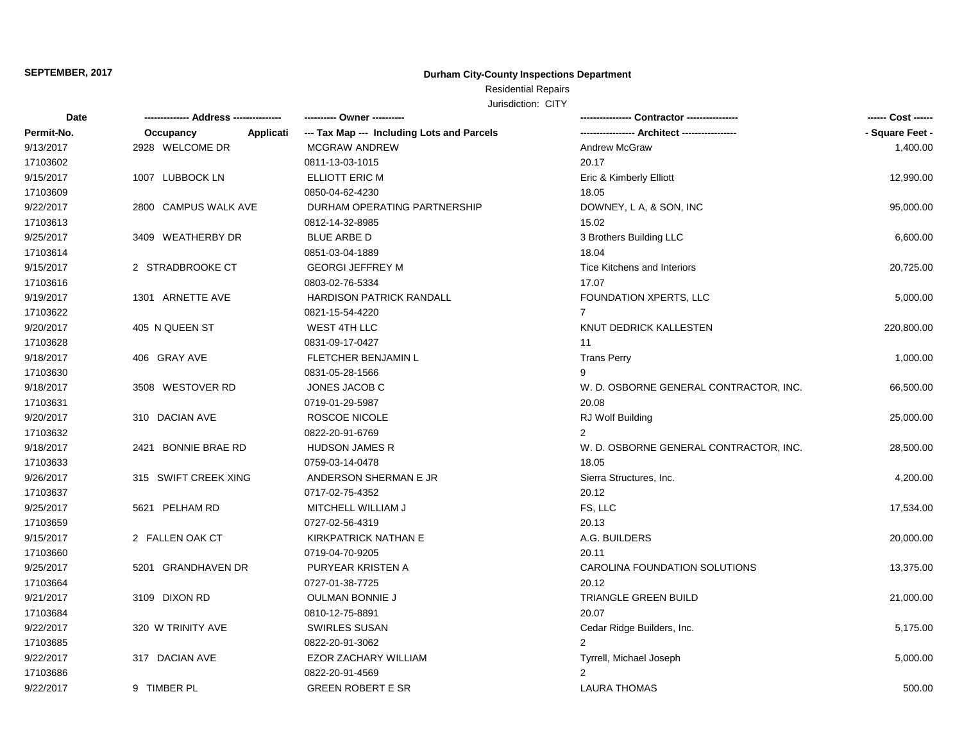## **Durham City-County Inspections Department**

# Residential Repairs

| <b>Date</b> |                        | ---------- Owner ----------                |                                        | ------ Cost ------ |
|-------------|------------------------|--------------------------------------------|----------------------------------------|--------------------|
| Permit-No.  | Applicati<br>Occupancy | --- Tax Map --- Including Lots and Parcels |                                        | - Square Feet -    |
| 9/13/2017   | 2928 WELCOME DR        | MCGRAW ANDREW                              | <b>Andrew McGraw</b>                   | 1,400.00           |
| 17103602    |                        | 0811-13-03-1015                            | 20.17                                  |                    |
| 9/15/2017   | 1007 LUBBOCK LN        | ELLIOTT ERIC M                             | Eric & Kimberly Elliott                | 12,990.00          |
| 17103609    |                        | 0850-04-62-4230                            | 18.05                                  |                    |
| 9/22/2017   | 2800 CAMPUS WALK AVE   | DURHAM OPERATING PARTNERSHIP               | DOWNEY, L A, & SON, INC                | 95,000.00          |
| 17103613    |                        | 0812-14-32-8985                            | 15.02                                  |                    |
| 9/25/2017   | 3409 WEATHERBY DR      | <b>BLUE ARBE D</b>                         | 3 Brothers Building LLC                | 6,600.00           |
| 17103614    |                        | 0851-03-04-1889                            | 18.04                                  |                    |
| 9/15/2017   | 2 STRADBROOKE CT       | <b>GEORGI JEFFREY M</b>                    | <b>Tice Kitchens and Interiors</b>     | 20,725.00          |
| 17103616    |                        | 0803-02-76-5334                            | 17.07                                  |                    |
| 9/19/2017   | 1301 ARNETTE AVE       | HARDISON PATRICK RANDALL                   | FOUNDATION XPERTS, LLC                 | 5,000.00           |
| 17103622    |                        | 0821-15-54-4220                            | $\overline{7}$                         |                    |
| 9/20/2017   | 405 N QUEEN ST         | WEST 4TH LLC                               | KNUT DEDRICK KALLESTEN                 | 220,800.00         |
| 17103628    |                        | 0831-09-17-0427                            | 11                                     |                    |
| 9/18/2017   | 406 GRAY AVE           | <b>FLETCHER BENJAMIN L</b>                 | <b>Trans Perry</b>                     | 1,000.00           |
| 17103630    |                        | 0831-05-28-1566                            | 9                                      |                    |
| 9/18/2017   | 3508 WESTOVER RD       | JONES JACOB C                              | W. D. OSBORNE GENERAL CONTRACTOR, INC. | 66,500.00          |
| 17103631    |                        | 0719-01-29-5987                            | 20.08                                  |                    |
| 9/20/2017   | 310 DACIAN AVE         | ROSCOE NICOLE                              | RJ Wolf Building                       | 25,000.00          |
| 17103632    |                        | 0822-20-91-6769                            | 2                                      |                    |
| 9/18/2017   | 2421 BONNIE BRAE RD    | <b>HUDSON JAMES R</b>                      | W. D. OSBORNE GENERAL CONTRACTOR, INC. | 28,500.00          |
| 17103633    |                        | 0759-03-14-0478                            | 18.05                                  |                    |
| 9/26/2017   | 315 SWIFT CREEK XING   | ANDERSON SHERMAN E JR                      | Sierra Structures, Inc.                | 4,200.00           |
| 17103637    |                        | 0717-02-75-4352                            | 20.12                                  |                    |
| 9/25/2017   | 5621 PELHAM RD         | MITCHELL WILLIAM J                         | FS, LLC                                | 17,534.00          |
| 17103659    |                        | 0727-02-56-4319                            | 20.13                                  |                    |
| 9/15/2017   | 2 FALLEN OAK CT        | KIRKPATRICK NATHAN E                       | A.G. BUILDERS                          | 20,000.00          |
| 17103660    |                        | 0719-04-70-9205                            | 20.11                                  |                    |
| 9/25/2017   | 5201 GRANDHAVEN DR     | PURYEAR KRISTEN A                          | CAROLINA FOUNDATION SOLUTIONS          | 13,375.00          |
| 17103664    |                        | 0727-01-38-7725                            | 20.12                                  |                    |
| 9/21/2017   | 3109 DIXON RD          | <b>OULMAN BONNIE J</b>                     | TRIANGLE GREEN BUILD                   | 21,000.00          |
| 17103684    |                        | 0810-12-75-8891                            | 20.07                                  |                    |
| 9/22/2017   | 320 W TRINITY AVE      | <b>SWIRLES SUSAN</b>                       | Cedar Ridge Builders, Inc.             | 5,175.00           |
| 17103685    |                        | 0822-20-91-3062                            | $\overline{2}$                         |                    |
| 9/22/2017   | 317 DACIAN AVE         | EZOR ZACHARY WILLIAM                       | Tyrrell, Michael Joseph                | 5,000.00           |
| 17103686    |                        | 0822-20-91-4569                            | $\overline{2}$                         |                    |
| 9/22/2017   | 9 TIMBER PL            | <b>GREEN ROBERT E SR</b>                   | <b>LAURA THOMAS</b>                    | 500.00             |